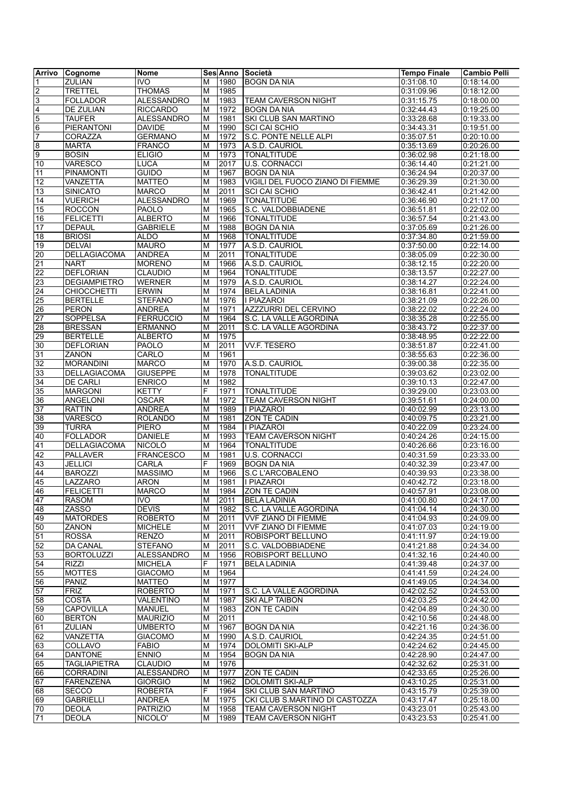| Arrivo                  | Cognome             | <b>Nome</b>       |                         |      | Ses Anno Società                 | <b>Tempo Finale</b> | <b>Cambio Pelli</b> |
|-------------------------|---------------------|-------------------|-------------------------|------|----------------------------------|---------------------|---------------------|
| 1                       | <b>ZULIAN</b>       | <b>IVO</b>        | M                       | 1980 | <b>BOGN DA NIA</b>               | 0:31:08.10          | 0:18:14.00          |
| $\overline{c}$          | <b>TRETTEL</b>      | <b>THOMAS</b>     | M                       | 1985 |                                  | 0:31:09.96          | 0:18:12.00          |
| $\sqrt{3}$              | <b>FOLLADOR</b>     | <b>ALESSANDRO</b> | M                       | 1983 | TEAM CAVERSON NIGHT              | 0:31:15.75          | 0:18:00.00          |
| $\overline{\mathbf{4}}$ | DE ZULIAN           | <b>RICCARDO</b>   | M                       | 1972 | <b>BOGN DA NIA</b>               | 0:32:44.43          | 0:19:25.00          |
| $\overline{5}$          | <b>TAUFER</b>       | <b>ALESSANDRO</b> | M                       | 1981 | SKI CLUB SAN MARTINO             | 0:33:28.68          | 0:19:33.00          |
| $6\phantom{a}$          | <b>PIERANTONI</b>   | <b>DAVIDE</b>     | M                       | 1990 | <b>SCI CAI SCHIO</b>             | 0:34:43.31          | 0:19:51.00          |
| 7                       | CORAZZA             | <b>GERMANO</b>    | $\overline{\mathsf{M}}$ | 1972 | S.C. PONTE NELLE ALPI            | 0:35:07.51          | 0:20:10.00          |
| $\overline{8}$          | <b>MARTA</b>        | <b>FRANCO</b>     | M                       | 1973 | A.S.D. CAURIOL                   | 0:35:13.69          | 0:20:26.00          |
| 9                       | <b>BOSIN</b>        | <b>ELIGIO</b>     | M                       | 1973 | <b>TONALTITUDE</b>               | 0:36:02.98          | 0:21:18.00          |
| 10                      | VARESCO             | <b>LUCA</b>       | M                       | 2017 | <b>U.S. CORNACCI</b>             | 0:36:14.40          | 0:21:21.00          |
| 11                      | <b>PINAMONTI</b>    | <b>GUIDO</b>      | M                       | 1967 | <b>BOGN DA NIA</b>               | 0:36:24.94          | 0:20:37.00          |
| 12                      |                     | <b>MATTEO</b>     | $\overline{\mathsf{M}}$ | 1983 | VIGILI DEL FUOCO ZIANO DI FIEMME |                     |                     |
|                         | VANZETTA            |                   | M                       |      |                                  | 0:36:29.39          | 0:21:30.00          |
| 13                      | <b>SINICATO</b>     | <b>MARCO</b>      |                         | 2011 | <b>SCI CAI SCHIO</b>             | 0:36:42.41          | 0:21:42.00          |
| 14                      | <b>VUERICH</b>      | <b>ALESSANDRO</b> | M                       | 1969 | <b>TONALTITUDE</b>               | 0:36:46.90          | 0:21:17.00          |
| 15                      | <b>ROCCON</b>       | <b>PAOLO</b>      | M                       | 1965 | S.C. VALDOBBIADENE               | 0:36:51.81          | 0:22:02.00          |
| 16                      | <b>FELICETTI</b>    | <b>ALBERTO</b>    | M                       | 1966 | <b>TONALTITUDE</b>               | 0:36:57.54          | 0:21:43.00          |
| 17                      | <b>DEPAUL</b>       | <b>GABRIELE</b>   | $\overline{\mathsf{M}}$ | 1988 | <b>BOGN DA NIA</b>               | 0:37:05.69          | 0:21:26.00          |
| 18                      | <b>BRIOSI</b>       | <b>ALDO</b>       | M                       | 1968 | <b>TONALTITUDE</b>               | 0:37:34.80          | 0:21:59.00          |
| 19                      | <b>DELVAI</b>       | <b>MAURO</b>      | M                       | 1977 | A.S.D. CAURIOL                   | 0:37:50.00          | 0:22:14.00          |
| $\overline{20}$         | <b>DELLAGIACOMA</b> | <b>ANDREA</b>     | M                       | 2011 | <b>TONALTITUDE</b>               | 0:38:05.09          | 0:22:30.00          |
| 21                      | <b>NART</b>         | <b>MORENO</b>     | M                       | 1966 | A.S.D. CAURIOL                   | 0:38:12.15          | 0:22:20.00          |
| 22                      | <b>DEFLORIAN</b>    | <b>CLAUDIO</b>    | $\overline{\mathsf{M}}$ | 1964 | <b>TONALTITUDE</b>               | 0:38:13.57          | 0:22:27.00          |
| 23                      | <b>DEGIAMPIETRO</b> | <b>WERNER</b>     | M                       | 1979 | A.S.D. CAURIOL                   | 0:38:14.27          | 0:22:24.00          |
| 24                      | <b>CHIOCCHETTI</b>  | <b>ERWIN</b>      | M                       | 1974 | <b>BELA LADINIA</b>              | 0:38:16.81          | 0:22:41.00          |
| 25                      | <b>BERTELLE</b>     | <b>STEFANO</b>    | M                       | 1976 | <b>I PIAZAROI</b>                | 0:38:21.09          | 0:22:26.00          |
| 26                      | <b>PERON</b>        | <b>ANDREA</b>     | M                       | 1971 | AZZZURRI DEL CERVINO             | 0:38:22.02          | 0:22:24.00          |
| 27                      | SOPPELSA            | <b>FERRUCCIO</b>  | M                       | 1964 | S.C. LA VALLE AGORDINA           | 0:38:35.28          | 0:22:55.00          |
| $\overline{28}$         | <b>BRESSAN</b>      | <b>ERMANNO</b>    | M                       | 2011 | S.C. LA VALLE AGORDINA           | 0:38:43.72          | 0:22:37.00          |
| 29                      | <b>BERTELLE</b>     | <b>ALBERTO</b>    | M                       | 1975 |                                  | 0:38:48.95          | 0:22:22.00          |
| 30                      | <b>DEFLORIAN</b>    | <b>PAOLO</b>      | $\overline{\mathsf{M}}$ | 2011 | <b>VV.F. TESERO</b>              | 0:38:51.87          | 0:22:41.00          |
| 31                      | <b>ZANON</b>        | CARLO             | M                       | 1961 |                                  | 0:38:55.63          | 0:22:36.00          |
| 32                      | <b>MORANDINI</b>    | <b>MARCO</b>      | $\overline{\mathsf{M}}$ | 1970 | A.S.D. CAURIOL                   | 0:39:00.38          | 0:22:35.00          |
| 33                      | <b>DELLAGIACOMA</b> | <b>GIUSEPPE</b>   | M                       | 1978 | <b>TONALTITUDE</b>               | 0:39:03.62          | 0:23:02.00          |
| 34                      | DE CARLI            | <b>ENRICO</b>     | M                       | 1982 |                                  | 0:39:10.13          | 0:22:47.00          |
| 35                      | <b>MARGONI</b>      | <b>KETTY</b>      | F                       | 1971 | <b>TONALTITUDE</b>               | 0:39:29.00          | 0:23:03.00          |
| 36                      | <b>ANGELONI</b>     | OSCAR             | M                       | 1972 | <b>TEAM CAVERSON NIGHT</b>       | 0:39:51.61          | 0:24:00.00          |
| 37                      | <b>RATTIN</b>       | <b>ANDREA</b>     | $\overline{\mathsf{M}}$ | 1989 | I PIAZAROI                       | 0:40:02.99          | 0:23:13.00          |
| 38                      | <b>VARESCO</b>      | <b>ROLANDO</b>    | M                       | 1981 | ZON TE CADIN                     | 0:40:09.75          | 0:23:21.00          |
| 39                      | <b>TURRA</b>        | PIERO             | M                       | 1984 | I PIAZAROI                       | 0:40:22.09          | 0:23:24.00          |
| 40                      | <b>FOLLADOR</b>     | <b>DANIELE</b>    | M                       | 1993 | <b>TEAM CAVERSON NIGHT</b>       | 0:40:24.26          | 0:24:15.00          |
|                         |                     | <b>NICOLÒ</b>     |                         |      |                                  |                     |                     |
| 41                      | DELLAGIACOMA        |                   | M                       | 1964 | <b>TONALTITUDE</b>               | 0:40:26.66          | 0:23:16.00          |
| 42                      | <b>PALLAVER</b>     | <b>FRANCESCO</b>  | M                       | 1981 | <b>U.S. CORNACCI</b>             | 0:40:31.59          | 0:23:33.00          |
| 43                      | <b>JELLICI</b>      | CARLA             | F                       | 1969 | <b>BOGN DA NIA</b>               | 0:40:32.39          | 0:23:47.00          |
| 44                      | <b>BAROZZI</b>      | <b>MASSIMO</b>    | M                       | 1966 | S.C L'ARCOBALENO                 | 0:40:39.93          | 0:23:38.00          |
| 45                      | LAZZARO             | <b>ARON</b>       | M                       | 1981 | <b>I PIAZAROI</b>                | 0:40:42.72          | 0:23:18.00          |
| 46                      | <b>FELICETTI</b>    | <b>MARCO</b>      | M                       | 1984 | <b>ZON TE CADIN</b>              | 0:40:57.91          | 0:23:08.00          |
| 47                      | <b>RASOM</b>        | <b>IVO</b>        | M                       | 2011 | <b>BELA LADINIA</b>              | 0:41:00.80          | 0:24:17.00          |
| 48                      | <b>ZASSO</b>        | <b>DEVIS</b>      | M                       | 1982 | S.C. LA VALLE AGORDINA           | 0:41:04.14          | 0:24:30.00          |
| 49                      | <b>MATORDES</b>     | <b>ROBERTO</b>    | M                       | 2011 | <b>VVF ZIANO DI FIEMME</b>       | 0:41:04.93          | 0:24:09.00          |
| 50                      | <b>ZANON</b>        | <b>MICHELE</b>    | $\overline{\mathsf{M}}$ | 2011 | <b>VVF ZIANO DI FIEMME</b>       | 0:41:07.03          | 0:24:19.00          |
| 51                      | <b>ROSSA</b>        | <b>RENZO</b>      | M                       | 2011 | ROBISPORT BELLUNO                | 0:41:11.97          | 0:24:19.00          |
| 52                      | <b>DA CANAL</b>     | <b>STEFANO</b>    | M                       | 2011 | S.C. VALDOBBIADENE               | 0:41:21.88          | 0:24:34.00          |
| 53                      | <b>BORTOLUZZI</b>   | <b>ALESSANDRO</b> | M                       | 1956 | ROBISPORT BELLUNO                | 0:41:32.16          | 0:24:40.00          |
| 54                      | <b>RIZZI</b>        | <b>MICHELA</b>    | F                       | 1971 | <b>BELA LADINIA</b>              | 0:41:39.48          | 0:24:37.00          |
| 55                      | <b>MOTTES</b>       | <b>GIACOMO</b>    | M                       | 1964 |                                  | 0:41:41.59          | 0:24:24.00          |
| 56                      | PANIZ               | <b>MATTEO</b>     | M                       | 1977 |                                  | 0:41:49.05          | 0:24:34.00          |
| 57                      | <b>FRIZ</b>         | <b>ROBERTO</b>    | M                       | 1971 | S.C. LA VALLE AGORDINA           | 0:42:02.52          | 0:24:53.00          |
| 58                      | <b>COSTA</b>        | <b>VALENTINO</b>  | M                       | 1987 | <b>SKI ALP TAIBON</b>            | 0:42:03.25          | 0:24:42.00          |
| 59                      | <b>CAPOVILLA</b>    | MANUEL            | M                       | 1983 | ZON TE CADIN                     | 0:42:04.89          | 0:24:30.00          |
| 60                      | <b>BERTON</b>       | <b>MAURIZIO</b>   | M                       | 2011 |                                  | 0:42:10.56          | 0:24:48.00          |
| 61                      | ZULIAN              | <b>UMBERTO</b>    | M                       | 1967 | <b>BOGN DA NIA</b>               | 0:42:21.16          | 0:24:36.00          |
| 62                      | VANZETTA            | <b>GIACOMO</b>    | M                       | 1990 | A.S.D. CAURIOL                   | 0:42:24.35          | 0:24:51.00          |
| 63                      | COLLAVO             | <b>FABIO</b>      | $\overline{\mathsf{M}}$ | 1974 | DOLOMITI SKI-ALP                 | 0:42:24.62          | 0:24:45.00          |
| 64                      | <b>DANTONE</b>      | <b>ENNIO</b>      | M                       | 1954 | <b>BOGN DA NIA</b>               | 0:42:28.90          | 0:24:47.00          |
| 65                      | <b>TAGLIAPIETRA</b> | <b>CLAUDIO</b>    | M                       | 1976 |                                  | 0:42:32.62          | 0:25:31.00          |
| 66                      | <b>CORRADINI</b>    | <b>ALESSANDRO</b> | M                       | 1977 | ZON TE CADIN                     | 0:42:33.65          | 0:25:26.00          |
| 67                      | <b>FARENZENA</b>    | <b>GIORGIO</b>    | M                       | 1962 | DOLOMITI SKI-ALP                 | 0:43:10.25          | 0:25:31.00          |
| 68                      | <b>SECCO</b>        | <b>ROBERTA</b>    | F                       | 1964 | SKI CLUB SAN MARTINO             | 0:43:15.79          | 0:25:39.00          |
| 69                      | <b>GABRIELLI</b>    | <b>ANDREA</b>     | M                       | 1975 | CKI CLUB S.MARTINO DI CASTOZZA   | 0:43:17.47          | 0:25:18.00          |
| 70                      | <b>DEOLA</b>        | <b>PATRIZIO</b>   | M                       | 1958 | TEAM CAVERSON NIGHT              | 0:43:23.01          | 0:25:43.00          |
| 71                      | <b>DEOLA</b>        | NICOLO'           | M                       | 1989 | TEAM CAVERSON NIGHT              | 0:43:23.53          | 0:25:41.00          |
|                         |                     |                   |                         |      |                                  |                     |                     |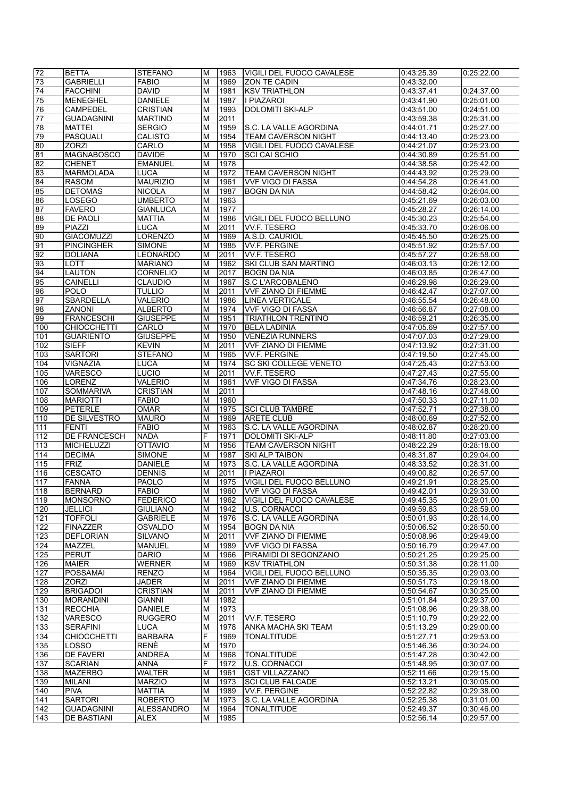| 72  | <b>BETTA</b>        | <b>STEFANO</b>    | M | 1963 | VIGILI DEL FUOCO CAVALESE       | 0:43:25.39 | 0:25:22.00 |
|-----|---------------------|-------------------|---|------|---------------------------------|------------|------------|
| 73  | <b>GABRIELLI</b>    | <b>FABIO</b>      | M | 1969 | <b>ZON TE CADIN</b>             | 0:43:32.00 |            |
|     | <b>FACCHINI</b>     | <b>DAVID</b>      | M | 1981 |                                 | 0:43:37.41 | 0:24:37.00 |
| 74  |                     |                   |   |      | <b>KSV TRIATHLON</b>            |            |            |
| 75  | <b>MENEGHEL</b>     | <b>DANIELE</b>    | M | 1987 | I PIAZAROI                      | 0:43:41.90 | 0:25:01.00 |
| 76  | CAMPEDEL            | <b>CRISTIAN</b>   | M | 1993 | <b>DOLOMITI SKI-ALP</b>         | 0:43:51.00 | 0:24:51.00 |
| 77  | <b>GUADAGNINI</b>   | <b>MARTINO</b>    | M | 2011 |                                 | 0:43:59.38 | 0:25:31.00 |
| 78  | MATTEI              | <b>SERGIO</b>     | M | 1959 | S.C. LA VALLE AGORDINA          | 0:44:01.71 | 0:25:27.00 |
| 79  | <b>PASQUALI</b>     | <b>CALISTO</b>    | M | 1954 | TEAM CAVERSON NIGHT             | 0:44:13.40 | 0:25:23.00 |
| 80  | <b>ZORZI</b>        | CARLO             | M | 1958 | VIGILI DEL FUOCO CAVALESE       | 0:44:21.07 | 0:25:23.00 |
|     | <b>MAGNABOSCO</b>   | <b>DAVIDE</b>     | M | 1970 | <b>SCI CAI SCHIO</b>            |            |            |
| 81  |                     |                   |   |      |                                 | 0:44:30.89 | 0:25:51.00 |
| 82  | <b>CHENET</b>       | <b>EMANUEL</b>    | M | 1978 |                                 | 0:44:38.58 | 0:25:42.00 |
| 83  | MARMOLADA           | <b>LUCA</b>       | M | 1972 | TEAM CAVERSON NIGHT             | 0:44:43.92 | 0:25:29.00 |
| 84  | <b>RASOM</b>        | <b>MAURIZIO</b>   | M | 1961 | <b>VVF VIGO DI FASSA</b>        | 0:44:54.28 | 0:26:41.00 |
| 85  | <b>DETOMAS</b>      | <b>NICOLA</b>     | M | 1987 | <b>BOGN DA NIA</b>              | 0:44:58.42 | 0:26:04.00 |
| 86  | <b>LOSEGO</b>       | <b>UMBERTO</b>    | M | 1963 |                                 | 0:45:21.69 | 0:26:03.00 |
| 87  | <b>FAVERO</b>       | <b>GIANLUCA</b>   | M | 1977 |                                 | 0:45:28.27 | 0:26:14.00 |
|     |                     | <b>MATTIA</b>     | M | 1986 |                                 |            |            |
| 88  | DE PAOLI            |                   |   |      | VIGILI DEL FUOCO BELLUNO        | 0:45:30.23 | 0:25:54.00 |
| 89  | <b>PIAZZI</b>       | <b>LUCA</b>       | M | 2011 | <b>VV.F. TESERO</b>             | 0:45:33.70 | 0:26:06.00 |
| 90  | <b>GIACOMUZZI</b>   | LORENZO           | M | 1969 | A.S.D. CAURIOL                  | 0:45:45.50 | 0:26:25.00 |
| 91  | <b>PINCINGHER</b>   | <b>SIMONE</b>     | M | 1985 | <b>VV.F. PERGINE</b>            | 0:45:51.92 | 0:25:57.00 |
| 92  | <b>DOLIANA</b>      | <b>LEONARDO</b>   | M | 2011 | <b>VV.F. TESERO</b>             | 0:45:57.27 | 0:26:58.00 |
| 93  | LOTT                | <b>MARIANO</b>    | M | 1962 | SKI CLUB SAN MARTINO            | 0:46:03.13 | 0:26:12.00 |
| 94  | LAUTON              | CORNELIO          | M | 2017 | <b>BOGN DA NIA</b>              | 0:46:03.85 | 0:26:47.00 |
| 95  | CAINELLI            | <b>CLAUDIO</b>    | M | 1967 | <b>S.C L'ARCOBALENO</b>         |            | 0:26:29.00 |
|     |                     |                   |   |      |                                 | 0:46:29.98 |            |
| 96  | <b>POLO</b>         | <b>TULLIO</b>     | M | 2011 | VVF ZIANO DI FIEMME             | 0:46:42.47 | 0:27:07.00 |
| 97  | <b>SBARDELLA</b>    | <b>VALERIO</b>    | M | 1986 | <b>LINEA VERTICALE</b>          | 0:46:55.54 | 0:26:48.00 |
| 98  | <b>ZANONI</b>       | <b>ALBERTO</b>    | M | 1974 | <b>VVF VIGO DI FASSA</b>        | 0:46:56.87 | 0:27:08.00 |
| 99  | <b>FRANCESCHI</b>   | <b>GIUSEPPE</b>   | M | 1951 | <b>TRIATHLON TRENTINO</b>       | 0:46:59.21 | 0:26:35.00 |
| 100 | <b>CHIOCCHETTI</b>  | CARLO             | M | 1970 | <b>BELA LADINIA</b>             | 0:47:05.69 | 0:27:57.00 |
| 101 | <b>GUARIENTO</b>    | <b>GIUSEPPE</b>   | M | 1950 | <b>VENEZIA RUNNERS</b>          | 0:47:07.03 | 0:27:29.00 |
| 102 | <b>SIEFF</b>        | <b>KEVIN</b>      | M | 2011 | <b>VVF ZIANO DI FIEMME</b>      | 0:47:13.92 | 0:27:31.00 |
|     |                     |                   |   |      |                                 |            |            |
| 103 | <b>SARTORI</b>      | <b>STEFANO</b>    | M | 1965 | <b>VV.F. PERGINE</b>            | 0:47:19.50 | 0:27:45.00 |
| 104 | <b>VIGNAZIA</b>     | <b>LUCA</b>       | M | 1974 | SC SKI COLLEGE VENETO           | 0:47:25.43 | 0:27:53.00 |
| 105 | <b>VARESCO</b>      | LUCIO             | M | 2011 | <b>VV.F. TESERO</b>             | 0:47:27.43 | 0:27:55.00 |
| 106 | <b>LORENZ</b>       | <b>VALERIO</b>    | M | 1961 | <b>VVF VIGO DI FASSA</b>        | 0:47:34.76 | 0:28:23.00 |
| 107 | SOMMARIVA           | <b>CRISTIAN</b>   | M | 2011 |                                 | 0:47:48.16 | 0:27:48.00 |
| 108 | <b>MARIOTTI</b>     | <b>FABIO</b>      | M | 1960 |                                 | 0:47:50.33 | 0:27:11.00 |
| 109 | <b>PETERLE</b>      | <b>OMAR</b>       | M | 1975 | <b>SCI CLUB TAMBRE</b>          | 0:47:52.71 | 0:27:38.00 |
|     | DE SILVESTRO        | <b>MAURO</b>      | M | 1969 | <b>ARETE CLUB</b>               | 0:48:00.69 | 0:27:52.00 |
| 110 |                     |                   |   |      |                                 |            |            |
| 111 | <b>FENTI</b>        | <b>FABIO</b>      | M | 1963 | S.C. LA VALLE AGORDINA          | 0:48:02.87 | 0:28:20.00 |
| 112 | <b>DE FRANCESCH</b> | <b>NADA</b>       | F | 1971 | <b>DOLOMITI SKI-ALP</b>         | 0:48:11.80 | 0:27:03.00 |
| 113 | <b>MICHELUZZI</b>   | <b>OTTAVIO</b>    | M | 1956 | <b>TEAM CAVERSON NIGHT</b>      | 0:48:22.29 | 0:28:18.00 |
| 114 | <b>DECIMA</b>       | <b>SIMONE</b>     | M | 1987 | <b>SKI ALP TAIBON</b>           | 0:48:31.87 | 0:29:04.00 |
| 115 | <b>FRIZ</b>         | <b>DANIELE</b>    | M | 1973 | S.C. LA VALLE AGORDINA          | 0:48:33.52 | 0:28:31.00 |
| 116 | <b>CESCATO</b>      | <b>DENNIS</b>     | M | 2011 | I PIAZAROI                      | 0:49:00.82 | 0:26:57.00 |
| 117 | <b>FANNA</b>        | <b>PAOLO</b>      | M | 1975 | <b>VIGILI DEL FUOCO BELLUNO</b> | 0:49:21.91 | 0:28:25.00 |
| 118 | BERNARD             | <b>FABIO</b>      | M | 1960 | <b>VVF VIGO DI FASSA</b>        | 0:49:42.01 | 0:29:30.00 |
|     |                     |                   |   |      |                                 |            |            |
| 119 | <b>MONSORNO</b>     | <b>FEDERICO</b>   | M | 1962 | VIGILI DEL FUOCO CAVALESE       | 0:49:45.35 | 0:29:01.00 |
| 120 | JELLICI             | <b>GIULIANO</b>   | M | 1942 | <b>U.S. CORNACCI</b>            | 0:49:59.83 | 0:28:59.00 |
| 121 | <b>TOFFOLI</b>      | <b>GABRIELE</b>   | M | 1976 | S.C. LA VALLE AGORDINA          | 0:50:01.93 | 0:28:14.00 |
| 122 | <b>FINAZZER</b>     | OSVALDO           | M | 1954 | <b>BOGN DA NIA</b>              | 0:50:06.52 | 0:28:50.00 |
| 123 | <b>DEFLORIAN</b>    | <b>SILVANO</b>    | M | 2011 | VVF ZIANO DI FIEMME             | 0:50:08.96 | 0:29:49.00 |
| 124 | MAZZEL              | <b>MANUEL</b>     | M | 1989 | <b>VVF VIGO DI FASSA</b>        | 0:50:16.79 | 0:29:47.00 |
| 125 | <b>PERUT</b>        | <b>DARIO</b>      | M | 1966 | PIRAMIDI DI SEGONZANO           | 0:50:21.25 | 0:29:25.00 |
|     |                     |                   |   |      |                                 |            |            |
| 126 | <b>MAIER</b>        | <b>WERNER</b>     | M | 1969 | <b>KSV TRIATHLON</b>            | 0:50:31.38 | 0:28:11.00 |
| 127 | <b>POSSAMAI</b>     | <b>RENZO</b>      | M | 1964 | VIGILI DEL FUOCO BELLUNO        | 0:50:35.35 | 0:29:03.00 |
| 128 | <b>ZORZI</b>        | <b>JADER</b>      | M | 2011 | <b>VVF ZIANO DI FIEMME</b>      | 0:50:51.73 | 0:29:18.00 |
| 129 | <b>BRIGADOI</b>     | <b>CRISTIAN</b>   | M | 2011 | <b>VVF ZIANO DI FIEMME</b>      | 0:50:54.67 | 0:30:25.00 |
| 130 | <b>MORANDINI</b>    | <b>GIANNI</b>     | M | 1982 |                                 | 0:51:01.84 | 0:29:37.00 |
| 131 | <b>RECCHIA</b>      | <b>DANIELE</b>    | M | 1973 |                                 | 0:51:08.96 | 0:29:38.00 |
| 132 | VARESCO             | <b>RUGGERO</b>    | M | 2011 | <b>VV.F. TESERO</b>             | 0:51:10.79 | 0:29:22.00 |
|     |                     | <b>LUCA</b>       | M |      |                                 |            |            |
| 133 | <b>SERAFINI</b>     |                   |   | 1978 | ANKA MACHA SKI TEAM             | 0:51:13.29 | 0:29:00.00 |
| 134 | <b>CHIOCCHETTI</b>  | <b>BARBARA</b>    | F | 1969 | <b>TONALTITUDE</b>              | 0:51:27.71 | 0:29:53.00 |
| 135 | <b>LOSSO</b>        | <b>RENÈ</b>       | M | 1970 |                                 | 0:51:46.36 | 0:30:24.00 |
| 136 | <b>DE FAVERI</b>    | <b>ANDREA</b>     | M | 1968 | <b>TONALTITUDE</b>              | 0:51:47.28 | 0:30:42.00 |
| 137 | <b>SCARIAN</b>      | <b>ANNA</b>       | F | 1972 | U.S. CORNACCI                   | 0:51:48.95 | 0:30:07.00 |
| 138 | <b>MAZERBO</b>      | <b>WALTER</b>     | M | 1961 | <b>GST VILLAZZANO</b>           | 0:52:11.66 | 0:29:15.00 |
| 139 | <b>MILANI</b>       | <b>MARZIO</b>     | M | 1973 | <b>SCI CLUB FALCADE</b>         | 0:52:13.21 | 0:30:05.00 |
| 140 | <b>PIVA</b>         | <b>MATTIA</b>     | M | 1989 | <b>VV.F. PERGINE</b>            | 0:52:22.82 | 0:29:38.00 |
|     |                     |                   |   |      |                                 |            |            |
| 141 | <b>SARTORI</b>      | <b>ROBERTO</b>    | M | 1973 | S.C. LA VALLE AGORDINA          | 0:52:25.38 | 0:31:01.00 |
| 142 | <b>GUADAGNINI</b>   | <b>ALESSANDRO</b> | M | 1964 | <b>TONALTITUDE</b>              | 0:52:49.37 | 0:30:46.00 |
| 143 | DE BASTIANI         | <b>ALEX</b>       | M | 1985 |                                 | 0:52:56.14 | 0:29:57.00 |
|     |                     |                   |   |      |                                 |            |            |